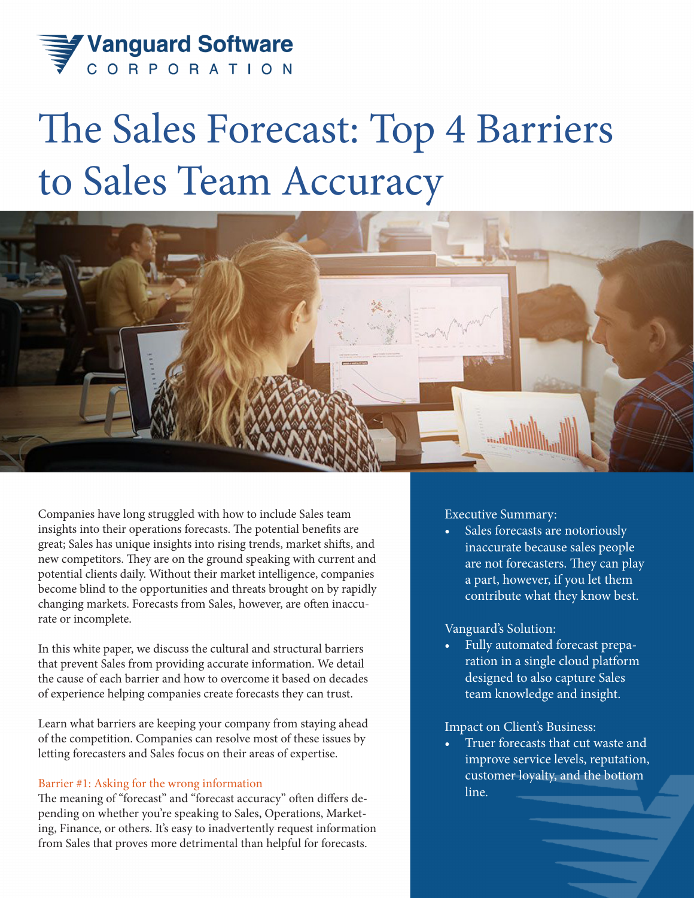

# The Sales Forecast: Top 4 Barriers to Sales Team Accuracy



Companies have long struggled with how to include Sales team insights into their operations forecasts. The potential benefits are great; Sales has unique insights into rising trends, market shifts, and new competitors. They are on the ground speaking with current and potential clients daily. Without their market intelligence, companies become blind to the opportunities and threats brought on by rapidly changing markets. Forecasts from Sales, however, are often inaccurate or incomplete.

In this white paper, we discuss the cultural and structural barriers that prevent Sales from providing accurate information. We detail the cause of each barrier and how to overcome it based on decades of experience helping companies create forecasts they can trust.

Learn what barriers are keeping your company from staying ahead of the competition. Companies can resolve most of these issues by letting forecasters and Sales focus on their areas of expertise.

## Barrier #1: Asking for the wrong information

The meaning of "forecast" and "forecast accuracy" often differs depending on whether you're speaking to Sales, Operations, Marketing, Finance, or others. It's easy to inadvertently request information from Sales that proves more detrimental than helpful for forecasts.

# Executive Summary:

Sales forecasts are notoriously inaccurate because sales people are not forecasters. They can play a part, however, if you let them contribute what they know best.

# Vanguard's Solution:

• Fully automated forecast preparation in a single cloud platform designed to also capture Sales team knowledge and insight.

# Impact on Client's Business:

Truer forecasts that cut waste and improve service levels, reputation, customer loyalty, and the bottom line.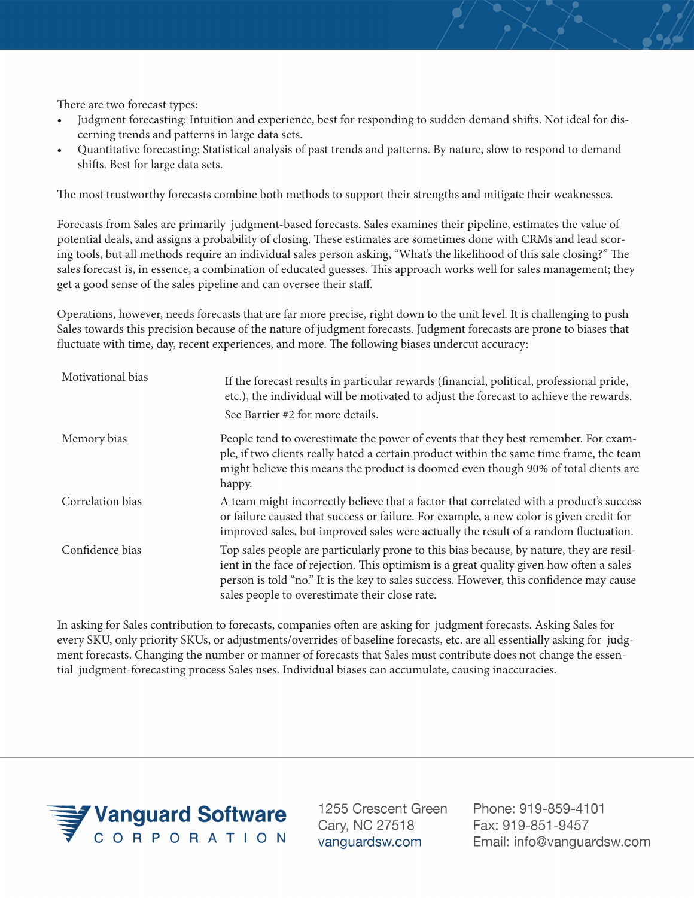There are two forecast types:

- Judgment forecasting: Intuition and experience, best for responding to sudden demand shifts. Not ideal for discerning trends and patterns in large data sets.
- Quantitative forecasting: Statistical analysis of past trends and patterns. By nature, slow to respond to demand shifts. Best for large data sets.

The most trustworthy forecasts combine both methods to support their strengths and mitigate their weaknesses.

Forecasts from Sales are primarily judgment-based forecasts. Sales examines their pipeline, estimates the value of potential deals, and assigns a probability of closing. These estimates are sometimes done with CRMs and lead scoring tools, but all methods require an individual sales person asking, "What's the likelihood of this sale closing?" The sales forecast is, in essence, a combination of educated guesses. This approach works well for sales management; they get a good sense of the sales pipeline and can oversee their staff.

Operations, however, needs forecasts that are far more precise, right down to the unit level. It is challenging to push Sales towards this precision because of the nature of judgment forecasts. Judgment forecasts are prone to biases that fluctuate with time, day, recent experiences, and more. The following biases undercut accuracy:

| Motivational bias | If the forecast results in particular rewards (financial, political, professional pride,<br>etc.), the individual will be motivated to adjust the forecast to achieve the rewards.<br>See Barrier #2 for more details.                                                                                                           |
|-------------------|----------------------------------------------------------------------------------------------------------------------------------------------------------------------------------------------------------------------------------------------------------------------------------------------------------------------------------|
| Memory bias       | People tend to overestimate the power of events that they best remember. For exam-<br>ple, if two clients really hated a certain product within the same time frame, the team<br>might believe this means the product is doomed even though 90% of total clients are<br>happy.                                                   |
| Correlation bias  | A team might incorrectly believe that a factor that correlated with a product's success<br>or failure caused that success or failure. For example, a new color is given credit for<br>improved sales, but improved sales were actually the result of a random fluctuation.                                                       |
| Confidence bias   | Top sales people are particularly prone to this bias because, by nature, they are resil-<br>ient in the face of rejection. This optimism is a great quality given how often a sales<br>person is told "no." It is the key to sales success. However, this confidence may cause<br>sales people to overestimate their close rate. |

In asking for Sales contribution to forecasts, companies often are asking for judgment forecasts. Asking Sales for every SKU, only priority SKUs, or adjustments/overrides of baseline forecasts, etc. are all essentially asking for judgment forecasts. Changing the number or manner of forecasts that Sales must contribute does not change the essential judgment-forecasting process Sales uses. Individual biases can accumulate, causing inaccuracies.



1255 Crescent Green Cary, NC 27518 vanguardsw.com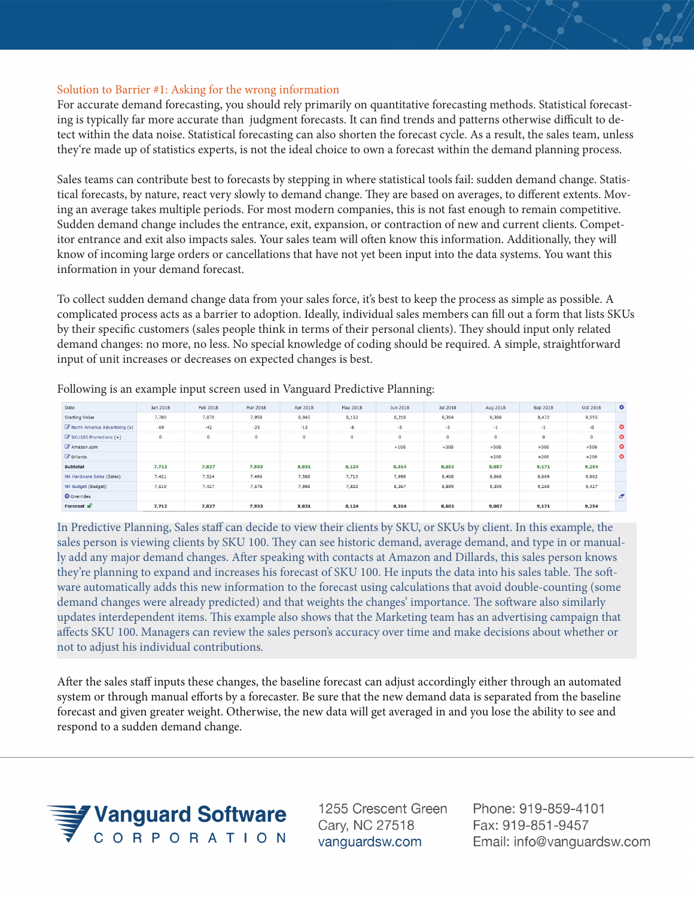## Solution to Barrier #1: Asking for the wrong information

For accurate demand forecasting, you should rely primarily on quantitative forecasting methods. Statistical forecasting is typically far more accurate than judgment forecasts. It can find trends and patterns otherwise difficult to detect within the data noise. Statistical forecasting can also shorten the forecast cycle. As a result, the sales team, unless they're made up of statistics experts, is not the ideal choice to own a forecast within the demand planning process.

Sales teams can contribute best to forecasts by stepping in where statistical tools fail: sudden demand change. Statistical forecasts, by nature, react very slowly to demand change. They are based on averages, to different extents. Moving an average takes multiple periods. For most modern companies, this is not fast enough to remain competitive. Sudden demand change includes the entrance, exit, expansion, or contraction of new and current clients. Competitor entrance and exit also impacts sales. Your sales team will often know this information. Additionally, they will know of incoming large orders or cancellations that have not yet been input into the data systems. You want this information in your demand forecast.

To collect sudden demand change data from your sales force, it's best to keep the process as simple as possible. A complicated process acts as a barrier to adoption. Ideally, individual sales members can fill out a form that lists SKUs by their specific customers (sales people think in terms of their personal clients). They should input only related demand changes: no more, no less. No special knowledge of coding should be required. A simple, straightforward input of unit increases or decreases on expected changes is best.

| Date                          | Jan 2018 | Feb 2018 | Mar 2018 | Apr 2018 | May 2018 | Jun 2018 | Jul 2018 | Aug 2018    | Sep 2018 | Oct 2018 | $\bullet$      |
|-------------------------------|----------|----------|----------|----------|----------|----------|----------|-------------|----------|----------|----------------|
| <b>Starting Value</b>         | 7,780    | 7,870    | 7,958    | 8,045    | 8,132    | 8,218    | 8,304    | 8,388       | 8,472    | 8,555    |                |
| North America Advertising (x) | $-69$    | $-42$    | $-25$    | $-15$    | $-8$     | $-5$     | $-3$     | $-1$        | $-1$     | $-0$     | $\bullet$      |
| C SKU100 Promotions (+)       | $\circ$  | $\circ$  | $\circ$  | $\circ$  | $\circ$  | $\circ$  | $\circ$  | $\mathbf 0$ | $\circ$  | $\circ$  | $\bullet$      |
| Amazon.com                    |          |          |          |          |          | $+100$   | $+300$   | $+500$      | $+500$   | $+500$   | $\bullet$      |
| <b><i>C</i></b> Dillards      |          |          |          |          |          |          |          | $+200$      | $+200$   | $+200$   | $\bullet$      |
| Subtotal                      | 7,712    | 7,827    | 7,933    | 8,031    | 8,124    | 8,314    | 8,601    | 9,087       | 9,171    | 9,254    |                |
| NA Hardware Sales (Sales)     | 7,421    | 7.524    | 7,496    | 7,588    | 7,713    | 7,998    | 8,408    | 8,666       | 8,669    | 8,862    |                |
| NA Budget (Budget)            | 7,619    | 7,427    | 7,678    | 7,988    | 7,820    | 8,367    | 8,899    | 9,359       | 9,260    | 9,427    |                |
| <b>O</b> Overrides            |          |          |          |          |          |          |          |             |          |          | $\overline{a}$ |
| Forecast $\mathbf{r}$         | 7.712    | 7.827    | 7,933    | 8,031    | 8,124    | 8,314    | 8,601    | 9,087       | 9,171    | 9,254    |                |

Following is an example input screen used in Vanguard Predictive Planning:

In Predictive Planning, Sales staff can decide to view their clients by SKU, or SKUs by client. In this example, the sales person is viewing clients by SKU 100. They can see historic demand, average demand, and type in or manually add any major demand changes. After speaking with contacts at Amazon and Dillards, this sales person knows they're planning to expand and increases his forecast of SKU 100. He inputs the data into his sales table. The software automatically adds this new information to the forecast using calculations that avoid double-counting (some demand changes were already predicted) and that weights the changes' importance. The software also similarly updates interdependent items. This example also shows that the Marketing team has an advertising campaign that affects SKU 100. Managers can review the sales person's accuracy over time and make decisions about whether or not to adjust his individual contributions.

After the sales staff inputs these changes, the baseline forecast can adjust accordingly either through an automated system or through manual efforts by a forecaster. Be sure that the new demand data is separated from the baseline forecast and given greater weight. Otherwise, the new data will get averaged in and you lose the ability to see and respond to a sudden demand change.



1255 Crescent Green Cary, NC 27518 vanguardsw.com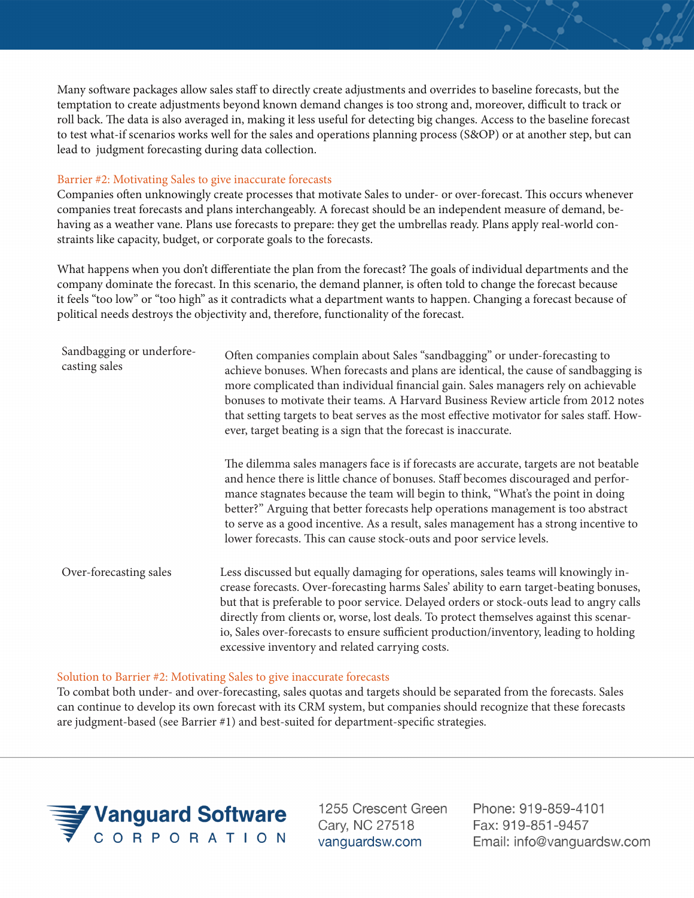Many software packages allow sales staff to directly create adjustments and overrides to baseline forecasts, but the temptation to create adjustments beyond known demand changes is too strong and, moreover, difficult to track or roll back. The data is also averaged in, making it less useful for detecting big changes. Access to the baseline forecast to test what-if scenarios works well for the sales and operations planning process (S&OP) or at another step, but can lead to judgment forecasting during data collection.

## Barrier #2: Motivating Sales to give inaccurate forecasts

Companies often unknowingly create processes that motivate Sales to under- or over-forecast. This occurs whenever companies treat forecasts and plans interchangeably. A forecast should be an independent measure of demand, behaving as a weather vane. Plans use forecasts to prepare: they get the umbrellas ready. Plans apply real-world constraints like capacity, budget, or corporate goals to the forecasts.

What happens when you don't differentiate the plan from the forecast? The goals of individual departments and the company dominate the forecast. In this scenario, the demand planner, is often told to change the forecast because it feels "too low" or "too high" as it contradicts what a department wants to happen. Changing a forecast because of political needs destroys the objectivity and, therefore, functionality of the forecast.

| Sandbagging or underfore-<br>casting sales | Often companies complain about Sales "sandbagging" or under-forecasting to<br>achieve bonuses. When forecasts and plans are identical, the cause of sandbagging is<br>more complicated than individual financial gain. Sales managers rely on achievable<br>bonuses to motivate their teams. A Harvard Business Review article from 2012 notes<br>that setting targets to beat serves as the most effective motivator for sales staff. How-<br>ever, target beating is a sign that the forecast is inaccurate.        |
|--------------------------------------------|-----------------------------------------------------------------------------------------------------------------------------------------------------------------------------------------------------------------------------------------------------------------------------------------------------------------------------------------------------------------------------------------------------------------------------------------------------------------------------------------------------------------------|
|                                            | The dilemma sales managers face is if forecasts are accurate, targets are not beatable<br>and hence there is little chance of bonuses. Staff becomes discouraged and perfor-<br>mance stagnates because the team will begin to think, "What's the point in doing<br>better?" Arguing that better forecasts help operations management is too abstract<br>to serve as a good incentive. As a result, sales management has a strong incentive to<br>lower forecasts. This can cause stock-outs and poor service levels. |
| Over-forecasting sales                     | Less discussed but equally damaging for operations, sales teams will knowingly in-<br>crease forecasts. Over-forecasting harms Sales' ability to earn target-beating bonuses,<br>but that is preferable to poor service. Delayed orders or stock-outs lead to angry calls<br>directly from clients or, worse, lost deals. To protect themselves against this scenar-<br>io, Sales over-forecasts to ensure sufficient production/inventory, leading to holding<br>excessive inventory and related carrying costs.     |

## Solution to Barrier #2: Motivating Sales to give inaccurate forecasts

To combat both under- and over-forecasting, sales quotas and targets should be separated from the forecasts. Sales can continue to develop its own forecast with its CRM system, but companies should recognize that these forecasts are judgment-based (see Barrier #1) and best-suited for department-specific strategies.



1255 Crescent Green Cary, NC 27518 vanguardsw.com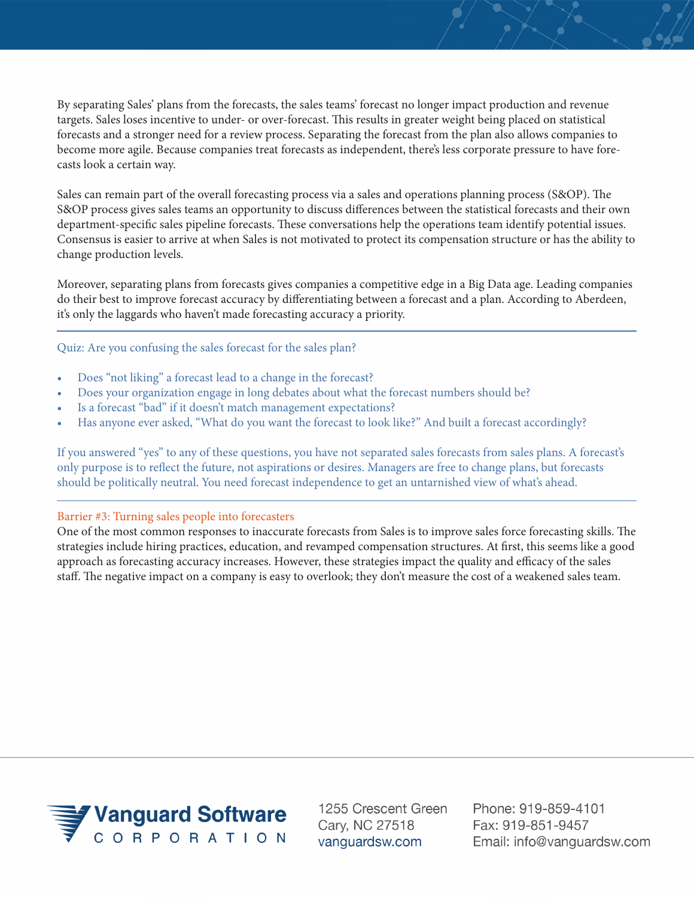By separating Sales' plans from the forecasts, the sales teams' forecast no longer impact production and revenue targets. Sales loses incentive to under- or over-forecast. This results in greater weight being placed on statistical forecasts and a stronger need for a review process. Separating the forecast from the plan also allows companies to become more agile. Because companies treat forecasts as independent, there's less corporate pressure to have forecasts look a certain way.

Sales can remain part of the overall forecasting process via a sales and operations planning process (S&OP). The S&OP process gives sales teams an opportunity to discuss differences between the statistical forecasts and their own department-specific sales pipeline forecasts. These conversations help the operations team identify potential issues. Consensus is easier to arrive at when Sales is not motivated to protect its compensation structure or has the ability to change production levels.

Moreover, separating plans from forecasts gives companies a competitive edge in a Big Data age. Leading companies do their best to improve forecast accuracy by differentiating between a forecast and a plan. According to Aberdeen, it's only the laggards who haven't made forecasting accuracy a priority.

Quiz: Are you confusing the sales forecast for the sales plan?

- Does "not liking" a forecast lead to a change in the forecast?
- Does your organization engage in long debates about what the forecast numbers should be?
- Is a forecast "bad" if it doesn't match management expectations?
- Has anyone ever asked, "What do you want the forecast to look like?" And built a forecast accordingly?

If you answered "yes" to any of these questions, you have not separated sales forecasts from sales plans. A forecast's only purpose is to reflect the future, not aspirations or desires. Managers are free to change plans, but forecasts should be politically neutral. You need forecast independence to get an untarnished view of what's ahead.

## Barrier #3: Turning sales people into forecasters

One of the most common responses to inaccurate forecasts from Sales is to improve sales force forecasting skills. The strategies include hiring practices, education, and revamped compensation structures. At first, this seems like a good approach as forecasting accuracy increases. However, these strategies impact the quality and efficacy of the sales staff. The negative impact on a company is easy to overlook; they don't measure the cost of a weakened sales team.



1255 Crescent Green Cary, NC 27518 vanguardsw.com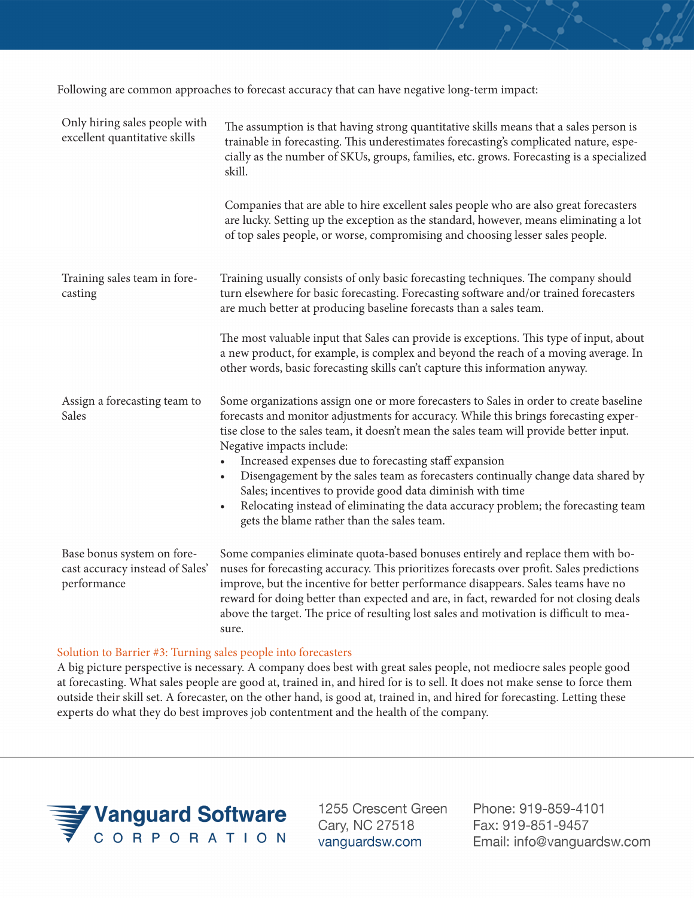Following are common approaches to forecast accuracy that can have negative long-term impact:

| Only hiring sales people with<br>excellent quantitative skills               | The assumption is that having strong quantitative skills means that a sales person is<br>trainable in forecasting. This underestimates forecasting's complicated nature, espe-<br>cially as the number of SKUs, groups, families, etc. grows. Forecasting is a specialized<br>skill.<br>Companies that are able to hire excellent sales people who are also great forecasters<br>are lucky. Setting up the exception as the standard, however, means eliminating a lot |
|------------------------------------------------------------------------------|------------------------------------------------------------------------------------------------------------------------------------------------------------------------------------------------------------------------------------------------------------------------------------------------------------------------------------------------------------------------------------------------------------------------------------------------------------------------|
|                                                                              | of top sales people, or worse, compromising and choosing lesser sales people.                                                                                                                                                                                                                                                                                                                                                                                          |
| Training sales team in fore-<br>casting                                      | Training usually consists of only basic forecasting techniques. The company should<br>turn elsewhere for basic forecasting. Forecasting software and/or trained forecasters<br>are much better at producing baseline forecasts than a sales team.                                                                                                                                                                                                                      |
|                                                                              | The most valuable input that Sales can provide is exceptions. This type of input, about<br>a new product, for example, is complex and beyond the reach of a moving average. In<br>other words, basic forecasting skills can't capture this information anyway.                                                                                                                                                                                                         |
| Assign a forecasting team to<br>Sales                                        | Some organizations assign one or more forecasters to Sales in order to create baseline<br>forecasts and monitor adjustments for accuracy. While this brings forecasting exper-<br>tise close to the sales team, it doesn't mean the sales team will provide better input.<br>Negative impacts include:                                                                                                                                                                 |
|                                                                              | Increased expenses due to forecasting staff expansion<br>Disengagement by the sales team as forecasters continually change data shared by<br>$\bullet$<br>Sales; incentives to provide good data diminish with time<br>Relocating instead of eliminating the data accuracy problem; the forecasting team<br>$\bullet$<br>gets the blame rather than the sales team.                                                                                                    |
| Base bonus system on fore-<br>cast accuracy instead of Sales'<br>performance | Some companies eliminate quota-based bonuses entirely and replace them with bo-<br>nuses for forecasting accuracy. This prioritizes forecasts over profit. Sales predictions<br>improve, but the incentive for better performance disappears. Sales teams have no<br>reward for doing better than expected and are, in fact, rewarded for not closing deals<br>above the target. The price of resulting lost sales and motivation is difficult to mea-<br>sure.        |

#### Solution to Barrier #3: Turning sales people into forecasters

A big picture perspective is necessary. A company does best with great sales people, not mediocre sales people good at forecasting. What sales people are good at, trained in, and hired for is to sell. It does not make sense to force them outside their skill set. A forecaster, on the other hand, is good at, trained in, and hired for forecasting. Letting these experts do what they do best improves job contentment and the health of the company.



1255 Crescent Green Cary, NC 27518 vanguardsw.com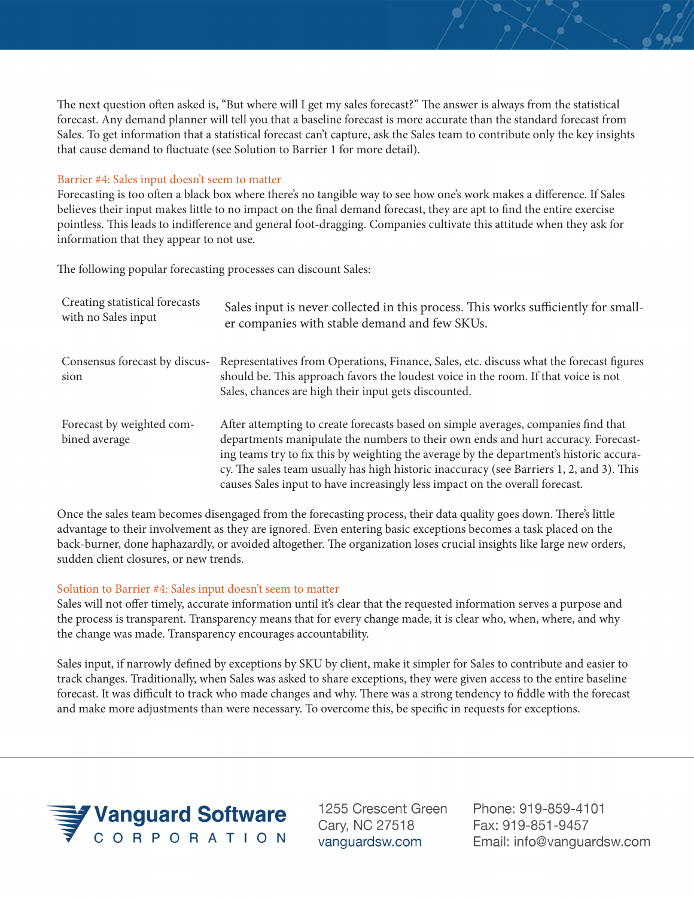The next question often asked is, "But where will I get my sales forecast?" The answer is always from the statistical forecast. Any demand planner will tell you that a baseline forecast is more accurate than the standard forecast from Sales. To get information that a statistical forecast can't capture, ask the Sales team to contribute only the key insights that cause demand to fluctuate (see Solution to Barrier 1 for more detail).

# Barrier #4: Sales input doesn't seem to matter

Forecasting is too often a black box where there's no tangible way to see how one's work makes a difference. If Sales believes their input makes little to no impact on the final demand forecast, they are apt to find the entire exercise pointless. This leads to indifference and general foot-dragging. Companies cultivate this attitude when they ask for information that they appear to not use.

The following popular forecasting processes can discount Sales:

| Creating statistical forecasts<br>with no Sales input | Sales input is never collected in this process. This works sufficiently for small-<br>er companies with stable demand and few SKUs.                                                                                                                                                                                                                                                                                                            |
|-------------------------------------------------------|------------------------------------------------------------------------------------------------------------------------------------------------------------------------------------------------------------------------------------------------------------------------------------------------------------------------------------------------------------------------------------------------------------------------------------------------|
| Consensus forecast by discus-<br>sion                 | Representatives from Operations, Finance, Sales, etc. discuss what the forecast figures<br>should be. This approach favors the loudest voice in the room. If that voice is not<br>Sales, chances are high their input gets discounted.                                                                                                                                                                                                         |
| Forecast by weighted com-<br>bined average            | After attempting to create forecasts based on simple averages, companies find that<br>departments manipulate the numbers to their own ends and hurt accuracy. Forecast-<br>ing teams try to fix this by weighting the average by the department's historic accura-<br>cy. The sales team usually has high historic inaccuracy (see Barriers 1, 2, and 3). This<br>causes Sales input to have increasingly less impact on the overall forecast. |

Once the sales team becomes disengaged from the forecasting process, their data quality goes down. There's little advantage to their involvement as they are ignored. Even entering basic exceptions becomes a task placed on the back-burner, done haphazardly, or avoided altogether. The organization loses crucial insights like large new orders, sudden client closures, or new trends.

# Solution to Barrier #4: Sales input doesn't seem to matter

Sales will not offer timely, accurate information until it's clear that the requested information serves a purpose and the process is transparent. Transparency means that for every change made, it is clear who, when, where, and why the change was made. Transparency encourages accountability.

Sales input, if narrowly defined by exceptions by SKU by client, make it simpler for Sales to contribute and easier to track changes. Traditionally, when Sales was asked to share exceptions, they were given access to the entire baseline forecast. It was difficult to track who made changes and why. There was a strong tendency to fiddle with the forecast and make more adjustments than were necessary. To overcome this, be specific in requests for exceptions.



1255 Crescent Green Cary, NC 27518 vanguardsw.com